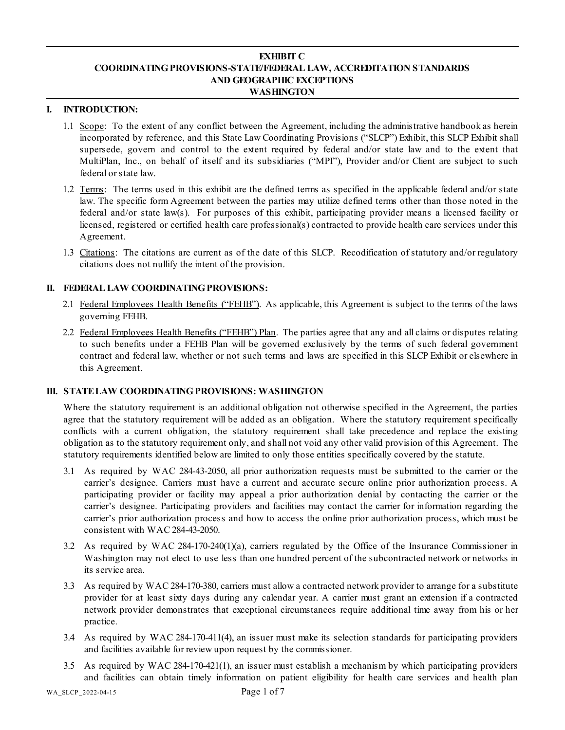# **EXHIBIT C COORDINATING PROVISIONS-STATE/FEDERAL LAW, ACCREDITATION STANDARDS AND GEOGRAPHIC EXCEPTIONS WASHINGTON**

#### **I. INTRODUCTION:**

- 1.1 Scope: To the extent of any conflict between the Agreement, including the administrative handbook as herein incorporated by reference, and this State Law Coordinating Provisions ("SLCP") Exhibit, this SLCP Exhibit shall supersede, govern and control to the extent required by federal and/or state law and to the extent that MultiPlan, Inc., on behalf of itself and its subsidiaries ("MPI"), Provider and/or Client are subject to such federal or state law.
- 1.2 Terms: The terms used in this exhibit are the defined terms as specified in the applicable federal and/or state law. The specific form Agreement between the parties may utilize defined terms other than those noted in the federal and/or state law(s). For purposes of this exhibit, participating provider means a licensed facility or licensed, registered or certified health care professional(s) contracted to provide health care services under this Agreement.
- 1.3 Citations: The citations are current as of the date of this SLCP. Recodification of statutory and/or regulatory citations does not nullify the intent of the provision.

# **II. FEDERAL LAW COORDINATING PROVISIONS:**

- 2.1 Federal Employees Health Benefits ("FEHB"). As applicable, this Agreement is subject to the terms of the laws governing FEHB.
- 2.2 Federal Employees Health Benefits ("FEHB") Plan. The parties agree that any and all claims or disputes relating to such benefits under a FEHB Plan will be governed exclusively by the terms of such federal government contract and federal law, whether or not such terms and laws are specified in this SLCP Exhibit or elsewhere in this Agreement.

# **III. STATE LAW COORDINATING PROVISIONS: WASHINGTON**

Where the statutory requirement is an additional obligation not otherwise specified in the Agreement, the parties agree that the statutory requirement will be added as an obligation. Where the statutory requirement specifically conflicts with a current obligation, the statutory requirement shall take precedence and replace the existing obligation as to the statutory requirement only, and shall not void any other valid provision of this Agreement. The statutory requirements identified below are limited to only those entities specifically covered by the statute.

- 3.1 As required by WAC 284-43-2050, all prior authorization requests must be submitted to the carrier or the carrier's designee. Carriers must have a current and accurate secure online prior authorization process. A participating provider or facility may appeal a prior authorization denial by contacting the carrier or the carrier's designee. Participating providers and facilities may contact the carrier for information regarding the carrier's prior authorization process and how to access the online prior authorization process, which must be consistent with WAC 284-43-2050.
- 3.2 As required by WAC 284-170-240(1)(a), carriers regulated by the Office of the Insurance Commissioner in Washington may not elect to use less than one hundred percent of the subcontracted network or networks in its service area.
- 3.3 As required by WAC 284-170-380, carriers must allow a contracted network provider to arrange for a substitute provider for at least sixty days during any calendar year. A carrier must grant an extension if a contracted network provider demonstrates that exceptional circumstances require additional time away from his or her practice.
- 3.4 As required by WAC 284-170-411(4), an issuer must make its selection standards for participating providers and facilities available for review upon request by the commissioner.
- 3.5 As required by WAC 284-170-421(1), an issuer must establish a mechanism by which participating providers and facilities can obtain timely information on patient eligibility for health care services and health plan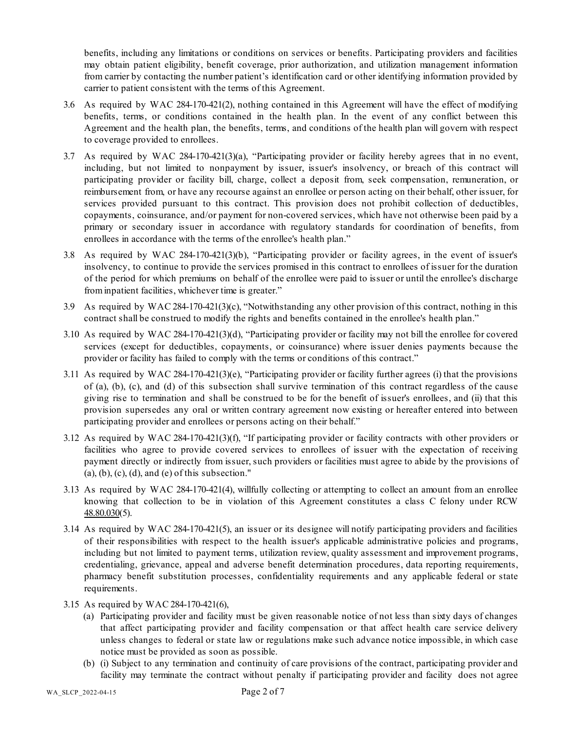benefits, including any limitations or conditions on services or benefits. Participating providers and facilities may obtain patient eligibility, benefit coverage, prior authorization, and utilization management information from carrier by contacting the number patient's identification card or other identifying information provided by carrier to patient consistent with the terms of this Agreement.

- 3.6 As required by WAC 284-170-421(2), nothing contained in this Agreement will have the effect of modifying benefits, terms, or conditions contained in the health plan. In the event of any conflict between this Agreement and the health plan, the benefits, terms, and conditions of the health plan will govern with respect to coverage provided to enrollees.
- 3.7 As required by WAC 284-170-421(3)(a), "Participating provider or facility hereby agrees that in no event, including, but not limited to nonpayment by issuer, issuer's insolvency, or breach of this contract will participating provider or facility bill, charge, collect a deposit from, seek compensation, remuneration, or reimbursement from, or have any recourse against an enrollee or person acting on their behalf, other issuer, for services provided pursuant to this contract. This provision does not prohibit collection of deductibles, copayments, coinsurance, and/or payment for non-covered services, which have not otherwise been paid by a primary or secondary issuer in accordance with regulatory standards for coordination of benefits, from enrollees in accordance with the terms of the enrollee's health plan."
- 3.8 As required by WAC 284-170-421(3)(b), "Participating provider or facility agrees, in the event of issuer's insolvency, to continue to provide the services promised in this contract to enrollees of issuer for the duration of the period for which premiums on behalf of the enrollee were paid to issuer or until the enrollee's discharge from inpatient facilities, whichever time is greater."
- 3.9 As required by WAC 284-170-421(3)(c), "Notwithstanding any other provision of this contract, nothing in this contract shall be construed to modify the rights and benefits contained in the enrollee's health plan."
- 3.10 As required by WAC 284-170-421(3)(d), "Participating provider or facility may not bill the enrollee for covered services (except for deductibles, copayments, or coinsurance) where issuer denies payments because the provider or facility has failed to comply with the terms or conditions of this contract."
- 3.11 As required by WAC 284-170-421(3)(e), "Participating provider or facility further agrees (i) that the provisions of (a), (b), (c), and (d) of this subsection shall survive termination of this contract regardless of the cause giving rise to termination and shall be construed to be for the benefit of issuer's enrollees, and (ii) that this provision supersedes any oral or written contrary agreement now existing or hereafter entered into between participating provider and enrollees or persons acting on their behalf."
- 3.12 As required by WAC 284-170-421(3)(f), "If participating provider or facility contracts with other providers or facilities who agree to provide covered services to enrollees of issuer with the expectation of receiving payment directly or indirectly from issuer, such providers or facilities must agree to abide by the provisions of  $(a)$ ,  $(b)$ ,  $(c)$ ,  $(d)$ , and  $(e)$  of this subsection."
- 3.13 As required by WAC 284-170-421(4), willfully collecting or attempting to collect an amount from an enrollee knowing that collection to be in violation of this Agreement constitutes a class C felony under RCW [48.80.030\(](http://app.leg.wa.gov/RCW/default.aspx?cite=48.80.030)5).
- 3.14 As required by WAC 284-170-421(5), an issuer or its designee will notify participating providers and facilities of their responsibilities with respect to the health issuer's applicable administrative policies and programs, including but not limited to payment terms, utilization review, quality assessment and improvement programs, credentialing, grievance, appeal and adverse benefit determination procedures, data reporting requirements, pharmacy benefit substitution processes, confidentiality requirements and any applicable federal or state requirements.
- 3.15 As required by WAC 284-170-421(6),
	- (a) Participating provider and facility must be given reasonable notice of not less than sixty days of changes that affect participating provider and facility compensation or that affect health care service delivery unless changes to federal or state law or regulations make such advance notice impossible, in which case notice must be provided as soon as possible.
	- (b) (i) Subject to any termination and continuity of care provisions of the contract, participating provider and facility may terminate the contract without penalty if participating provider and facility does not agree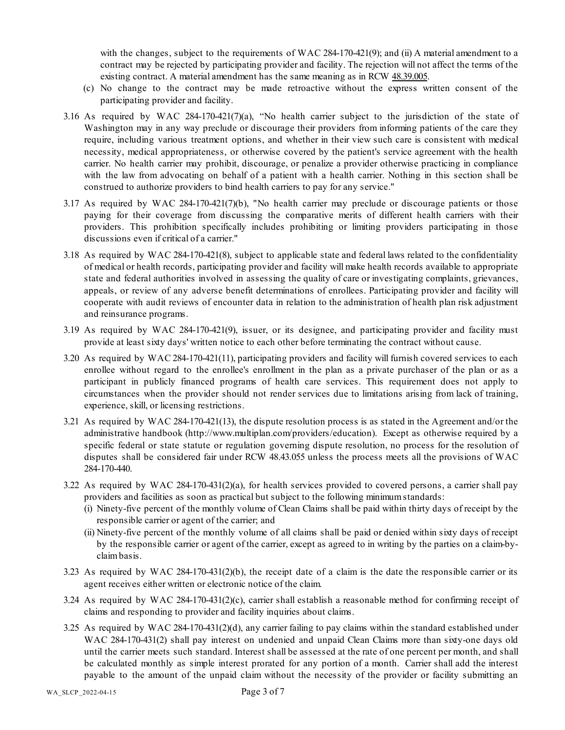with the changes, subject to the requirements of WAC 284-170-421(9); and (ii) A material amendment to a contract may be rejected by participating provider and facility. The rejection will not affect the terms of the existing contract. A material amendment has the same meaning as in RCW [48.39.005.](http://app.leg.wa.gov/RCW/default.aspx?cite=48.39.005)

- (c) No change to the contract may be made retroactive without the express written consent of the participating provider and facility.
- 3.16 As required by WAC  $284-170-421(7)(a)$ , "No health carrier subject to the jurisdiction of the state of Washington may in any way preclude or discourage their providers from informing patients of the care they require, including various treatment options, and whether in their view such care is consistent with medical necessity, medical appropriateness, or otherwise covered by the patient's service agreement with the health carrier. No health carrier may prohibit, discourage, or penalize a provider otherwise practicing in compliance with the law from advocating on behalf of a patient with a health carrier. Nothing in this section shall be construed to authorize providers to bind health carriers to pay for any service."
- 3.17 As required by WAC 284-170-421(7)(b), "No health carrier may preclude or discourage patients or those paying for their coverage from discussing the comparative merits of different health carriers with their providers. This prohibition specifically includes prohibiting or limiting providers participating in those discussions even if critical of a carrier."
- 3.18 As required by WAC 284-170-421(8), subject to applicable state and federal laws related to the confidentiality of medical or health records, participating provider and facility will make health records available to appropriate state and federal authorities involved in assessing the quality of care or investigating complaints, grievances, appeals, or review of any adverse benefit determinations of enrollees. Participating provider and facility will cooperate with audit reviews of encounter data in relation to the administration of health plan risk adjustment and reinsurance programs.
- 3.19 As required by WAC 284-170-421(9), issuer, or its designee, and participating provider and facility must provide at least sixty days' written notice to each other before terminating the contract without cause.
- 3.20 As required by WAC 284-170-421(11), participating providers and facility will furnish covered services to each enrollee without regard to the enrollee's enrollment in the plan as a private purchaser of the plan or as a participant in publicly financed programs of health care services. This requirement does not apply to circumstances when the provider should not render services due to limitations arising from lack of training, experience, skill, or licensing restrictions.
- 3.21 As required by WAC 284-170-421(13), the dispute resolution process is as stated in the Agreement and/or the administrative handbook (http://www.multiplan.com/providers/education). Except as otherwise required by a specific federal or state statute or regulation governing dispute resolution, no process for the resolution of disputes shall be considered fair under RCW [48.43.055](http://app.leg.wa.gov/RCW/default.aspx?cite=48.43.055) unless the process meets all the provisions of WAC 284-170-440.
- 3.22 As required by WAC 284-170-431(2)(a), for health services provided to covered persons, a carrier shall pay providers and facilities as soon as practical but subject to the following minimum standards:
	- (i) Ninety-five percent of the monthly volume of Clean Claims shall be paid within thirty days of receipt by the responsible carrier or agent of the carrier; and
	- (ii) Ninety-five percent of the monthly volume of all claims shall be paid or denied within sixty days of receipt by the responsible carrier or agent of the carrier, except as agreed to in writing by the parties on a claim-byclaim basis.
- 3.23 As required by WAC 284-170-431(2)(b), the receipt date of a claim is the date the responsible carrier or its agent receives either written or electronic notice of the claim.
- 3.24 As required by WAC 284-170-431(2)(c), carrier shall establish a reasonable method for confirming receipt of claims and responding to provider and facility inquiries about claims.
- 3.25 As required by WAC 284-170-431(2)(d), any carrier failing to pay claims within the standard established under WAC 284-170-431(2) shall pay interest on undenied and unpaid Clean Claims more than sixty-one days old until the carrier meets such standard. Interest shall be assessed at the rate of one percent per month, and shall be calculated monthly as simple interest prorated for any portion of a month. Carrier shall add the interest payable to the amount of the unpaid claim without the necessity of the provider or facility submitting an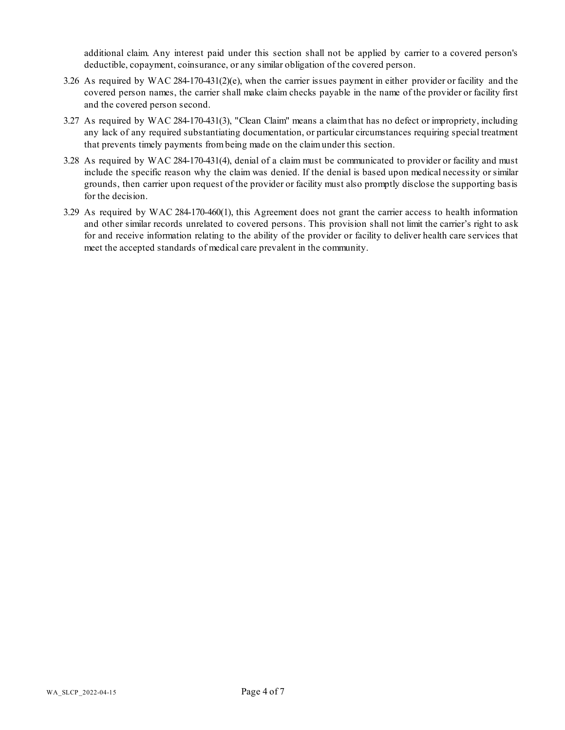additional claim. Any interest paid under this section shall not be applied by carrier to a covered person's deductible, copayment, coinsurance, or any similar obligation of the covered person.

- 3.26 As required by WAC 284-170-431(2)(e), when the carrier issues payment in either provider or facility and the covered person names, the carrier shall make claim checks payable in the name of the provider or facility first and the covered person second.
- 3.27 As required by WAC 284-170-431(3), "Clean Claim" means a claim that has no defect or impropriety, including any lack of any required substantiating documentation, or particular circumstances requiring special treatment that prevents timely payments from being made on the claim under this section.
- 3.28 As required by WAC 284-170-431(4), denial of a claim must be communicated to provider or facility and must include the specific reason why the claim was denied. If the denial is based upon medical necessity or similar grounds, then carrier upon request of the provider or facility must also promptly disclose the supporting basis for the decision.
- 3.29 As required by WAC 284-170-460(1), this Agreement does not grant the carrier access to health information and other similar records unrelated to covered persons. This provision shall not limit the carrier's right to ask for and receive information relating to the ability of the provider or facility to deliver health care services that meet the accepted standards of medical care prevalent in the community.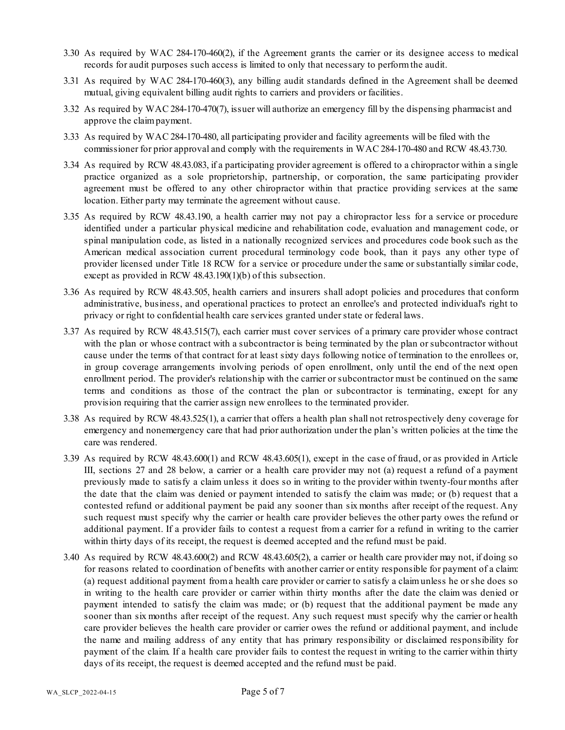- 3.30 As required by WAC 284-170-460(2), if the Agreement grants the carrier or its designee access to medical records for audit purposes such access is limited to only that necessary to perform the audit.
- 3.31 As required by WAC 284-170-460(3), any billing audit standards defined in the Agreement shall be deemed mutual, giving equivalent billing audit rights to carriers and providers or facilities.
- 3.32 As required by WAC 284-170-470(7), issuer will authorize an emergency fill by the dispensing pharmacist and approve the claim payment.
- 3.33 As required by WAC 284-170-480, all participating provider and facility agreements will be filed with the commissioner for prior approval and comply with the requirements in WAC 284-170-480 and RCW 48.43.730.
- 3.34 As required by RCW 48.43.083, if a participating provider agreement is offered to a chiropractor within a single practice organized as a sole proprietorship, partnership, or corporation, the same participating provider agreement must be offered to any other chiropractor within that practice providing services at the same location. Either party may terminate the agreement without cause.
- 3.35 As required by RCW 48.43.190, a health carrier may not pay a chiropractor less for a service or procedure identified under a particular physical medicine and rehabilitation code, evaluation and management code, or spinal manipulation code, as listed in a nationally recognized services and procedures code book such as the American medical association current procedural terminology code book, than it pays any other type of provider licensed under Title 18 RCW for a service or procedure under the same or substantially similar code, except as provided in RCW 48.43.190(1)(b) of this subsection.
- 3.36 As required by RCW 48.43.505, health carriers and insurers shall adopt policies and procedures that conform administrative, business, and operational practices to protect an enrollee's and protected individual's right to privacy or right to confidential health care services granted under state or federal laws.
- 3.37 As required by RCW 48.43.515(7), each carrier must cover services of a primary care provider whose contract with the plan or whose contract with a subcontractor is being terminated by the plan or subcontractor without cause under the terms of that contract for at least sixty days following notice of termination to the enrollees or, in group coverage arrangements involving periods of open enrollment, only until the end of the next open enrollment period. The provider's relationship with the carrier or subcontractor must be continued on the same terms and conditions as those of the contract the plan or subcontractor is terminating, except for any provision requiring that the carrier assign new enrollees to the terminated provider.
- 3.38 As required by RCW 48.43.525(1), a carrier that offers a health plan shall not retrospectively deny coverage for emergency and nonemergency care that had prior authorization under the plan's written policies at the time the care was rendered.
- 3.39 As required by RCW 48.43.600(1) and RCW 48.43.605(1), except in the case of fraud, or as provided in Article III, sections 27 and 28 below, a carrier or a health care provider may not (a) request a refund of a payment previously made to satisfy a claim unless it does so in writing to the provider within twenty-four months after the date that the claim was denied or payment intended to satisfy the claim was made; or (b) request that a contested refund or additional payment be paid any sooner than six months after receipt of the request. Any such request must specify why the carrier or health care provider believes the other party owes the refund or additional payment. If a provider fails to contest a request from a carrier for a refund in writing to the carrier within thirty days of its receipt, the request is deemed accepted and the refund must be paid.
- 3.40 As required by RCW 48.43.600(2) and RCW 48.43.605(2), a carrier or health care provider may not, if doing so for reasons related to coordination of benefits with another carrier or entity responsible for payment of a claim: (a) request additional payment from a health care provider or carrier to satisfy a claim unless he or she does so in writing to the health care provider or carrier within thirty months after the date the claim was denied or payment intended to satisfy the claim was made; or (b) request that the additional payment be made any sooner than six months after receipt of the request. Any such request must specify why the carrier or health care provider believes the health care provider or carrier owes the refund or additional payment, and include the name and mailing address of any entity that has primary responsibility or disclaimed responsibility for payment of the claim. If a health care provider fails to contest the request in writing to the carrier within thirty days of its receipt, the request is deemed accepted and the refund must be paid.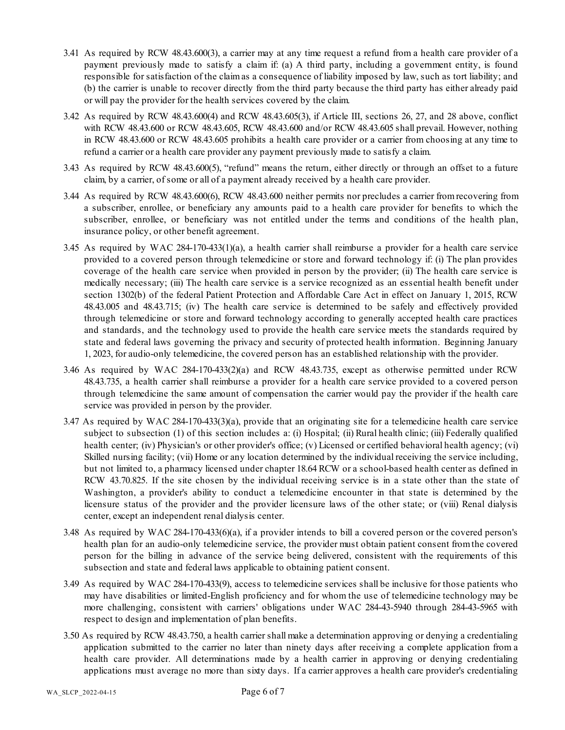- 3.41 As required by RCW 48.43.600(3), a carrier may at any time request a refund from a health care provider of a payment previously made to satisfy a claim if: (a) A third party, including a government entity, is found responsible for satisfaction of the claim as a consequence of liability imposed by law, such as tort liability; and (b) the carrier is unable to recover directly from the third party because the third party has either already paid or will pay the provider for the health services covered by the claim.
- 3.42 As required by RCW 48.43.600(4) and RCW 48.43.605(3), if Article III, sections 26, 27, and 28 above, conflict with RCW 48.43.600 or RCW 48.43.605, RCW 48.43.600 and/or RCW 48.43.605 shall prevail. However, nothing in RCW 48.43.600 or RCW 48.43.605 prohibits a health care provider or a carrier from choosing at any time to refund a carrier or a health care provider any payment previously made to satisfy a claim.
- 3.43 As required by RCW 48.43.600(5), "refund" means the return, either directly or through an offset to a future claim, by a carrier, of some or all of a payment already received by a health care provider.
- 3.44 As required by RCW 48.43.600(6), RCW 48.43.600 neither permits nor precludes a carrier from recovering from a subscriber, enrollee, or beneficiary any amounts paid to a health care provider for benefits to which the subscriber, enrollee, or beneficiary was not entitled under the terms and conditions of the health plan, insurance policy, or other benefit agreement.
- 3.45 As required by WAC 284-170-433(1)(a), a health carrier shall reimburse a provider for a health care service provided to a covered person through telemedicine or store and forward technology if: (i) The plan provides coverage of the health care service when provided in person by the provider; (ii) The health care service is medically necessary; (iii) The health care service is a service recognized as an essential health benefit under section 1302(b) of the federal Patient Protection and Affordable Care Act in effect on January 1, 2015, RCW 48.43.005 and 48.43.715; (iv) The health care service is determined to be safely and effectively provided through telemedicine or store and forward technology according to generally accepted health care practices and standards, and the technology used to provide the health care service meets the standards required by state and federal laws governing the privacy and security of protected health information. Beginning January 1, 2023, for audio-only telemedicine, the covered person has an established relationship with the provider.
- 3.46 As required by WAC 284-170-433(2)(a) and RCW 48.43.735, except as otherwise permitted under RCW 48.43.735, a health carrier shall reimburse a provider for a health care service provided to a covered person through telemedicine the same amount of compensation the carrier would pay the provider if the health care service was provided in person by the provider.
- 3.47 As required by WAC 284-170-433(3)(a), provide that an originating site for a telemedicine health care service subject to subsection (1) of this section includes a: (i) Hospital; (ii) Rural health clinic; (iii) Federally qualified health center; (iv) Physician's or other provider's office; (v) Licensed or certified behavioral health agency; (vi) Skilled nursing facility; (vii) Home or any location determined by the individual receiving the service including, but not limited to, a pharmacy licensed under chapter 18.64 RCW or a school-based health center as defined in RCW 43.70.825. If the site chosen by the individual receiving service is in a state other than the state of Washington, a provider's ability to conduct a telemedicine encounter in that state is determined by the licensure status of the provider and the provider licensure laws of the other state; or (viii) Renal dialysis center, except an independent renal dialysis center.
- 3.48 As required by WAC 284-170-433(6)(a), if a provider intends to bill a covered person or the covered person's health plan for an audio-only telemedicine service, the provider must obtain patient consent from the covered person for the billing in advance of the service being delivered, consistent with the requirements of this subsection and state and federal laws applicable to obtaining patient consent.
- 3.49 As required by WAC 284-170-433(9), access to telemedicine services shall be inclusive for those patients who may have disabilities or limited-English proficiency and for whom the use of telemedicine technology may be more challenging, consistent with carriers' obligations under WAC 284-43-5940 through 284-43-5965 with respect to design and implementation of plan benefits.
- 3.50 As required by RCW 48.43.750, a health carrier shall make a determination approving or denying a credentialing application submitted to the carrier no later than ninety days after receiving a complete application from a health care provider. All determinations made by a health carrier in approving or denying credentialing applications must average no more than sixty days. If a carrier approves a health care provider's credentialing